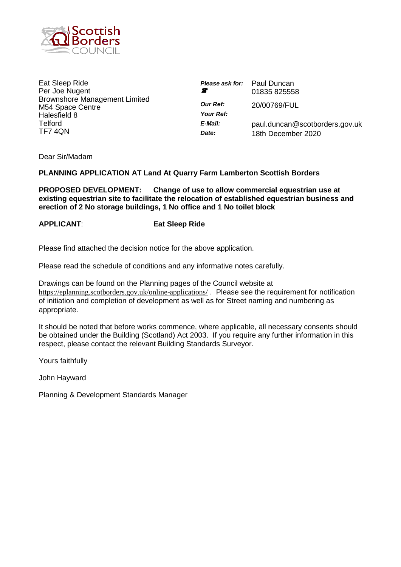

Eat Sleep Ride Per Joe Nugent Brownshore Management Limited M54 Space Centre Halesfield 8 Telford TF7 4QN

| <b>Please ask for:</b> Paul Duncan<br>Ŧ | 01835 825558                                         |
|-----------------------------------------|------------------------------------------------------|
| <b>Our Ref:</b><br>Your Ref:            | 20/00769/FUL                                         |
| E-Mail:<br>Date:                        | paul.duncan@scotborders.gov.uk<br>18th December 2020 |

Dear Sir/Madam

# **PLANNING APPLICATION AT Land At Quarry Farm Lamberton Scottish Borders**

**PROPOSED DEVELOPMENT: Change of use to allow commercial equestrian use at existing equestrian site to facilitate the relocation of established equestrian business and erection of 2 No storage buildings, 1 No office and 1 No toilet block**

# **APPLICANT**: **Eat Sleep Ride**

Please find attached the decision notice for the above application.

Please read the schedule of conditions and any informative notes carefully.

Drawings can be found on the Planning pages of the Council website at <https://eplanning.scotborders.gov.uk/online-applications/>. Please see the requirement for notification of initiation and completion of development as well as for Street naming and numbering as appropriate.

It should be noted that before works commence, where applicable, all necessary consents should be obtained under the Building (Scotland) Act 2003. If you require any further information in this respect, please contact the relevant Building Standards Surveyor.

Yours faithfully

John Hayward

Planning & Development Standards Manager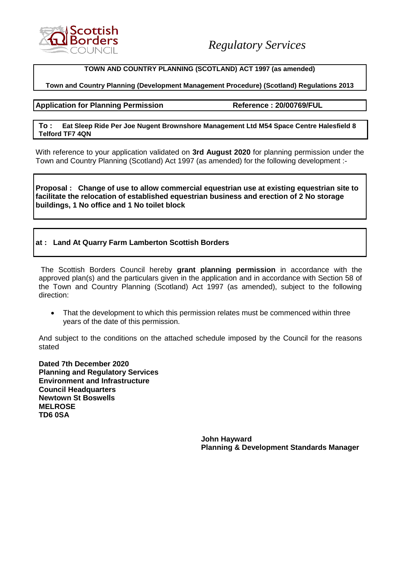

#### **TOWN AND COUNTRY PLANNING (SCOTLAND) ACT 1997 (as amended)**

### **Town and Country Planning (Development Management Procedure) (Scotland) Regulations 2013**

#### **Application for Planning Permission Reference : 20/00769/FUL**

#### **To : Eat Sleep Ride Per Joe Nugent Brownshore Management Ltd M54 Space Centre Halesfield 8 Telford TF7 4QN**

With reference to your application validated on **3rd August 2020** for planning permission under the Town and Country Planning (Scotland) Act 1997 (as amended) for the following development :-

**Proposal : Change of use to allow commercial equestrian use at existing equestrian site to facilitate the relocation of established equestrian business and erection of 2 No storage buildings, 1 No office and 1 No toilet block**

# **at : Land At Quarry Farm Lamberton Scottish Borders**

The Scottish Borders Council hereby **grant planning permission** in accordance with the approved plan(s) and the particulars given in the application and in accordance with Section 58 of the Town and Country Planning (Scotland) Act 1997 (as amended), subject to the following direction:

• That the development to which this permission relates must be commenced within three years of the date of this permission.

And subject to the conditions on the attached schedule imposed by the Council for the reasons stated

**Dated 7th December 2020 Planning and Regulatory Services Environment and Infrastructure Council Headquarters Newtown St Boswells MELROSE TD6 0SA**

> **John Hayward Planning & Development Standards Manager**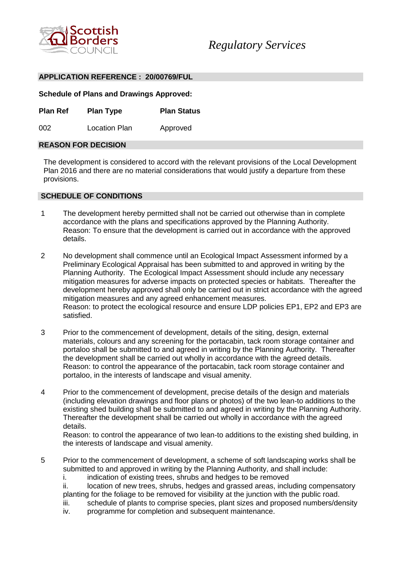

#### **APPLICATION REFERENCE : 20/00769/FUL**

**Schedule of Plans and Drawings Approved:**

**Plan Ref Plan Type Plan Status**

002 Location Plan Approved

#### **REASON FOR DECISION**

The development is considered to accord with the relevant provisions of the Local Development Plan 2016 and there are no material considerations that would justify a departure from these provisions.

#### **SCHEDULE OF CONDITIONS**

- 1 The development hereby permitted shall not be carried out otherwise than in complete accordance with the plans and specifications approved by the Planning Authority. Reason: To ensure that the development is carried out in accordance with the approved details.
- 2 No development shall commence until an Ecological Impact Assessment informed by a Preliminary Ecological Appraisal has been submitted to and approved in writing by the Planning Authority. The Ecological Impact Assessment should include any necessary mitigation measures for adverse impacts on protected species or habitats. Thereafter the development hereby approved shall only be carried out in strict accordance with the agreed mitigation measures and any agreed enhancement measures. Reason: to protect the ecological resource and ensure LDP policies EP1, EP2 and EP3 are satisfied.
- 3 Prior to the commencement of development, details of the siting, design, external materials, colours and any screening for the portacabin, tack room storage container and portaloo shall be submitted to and agreed in writing by the Planning Authority. Thereafter the development shall be carried out wholly in accordance with the agreed details. Reason: to control the appearance of the portacabin, tack room storage container and portaloo, in the interests of landscape and visual amenity.
- 4 Prior to the commencement of development, precise details of the design and materials (including elevation drawings and floor plans or photos) of the two lean-to additions to the existing shed building shall be submitted to and agreed in writing by the Planning Authority. Thereafter the development shall be carried out wholly in accordance with the agreed details.

Reason: to control the appearance of two lean-to additions to the existing shed building, in the interests of landscape and visual amenity.

5 Prior to the commencement of development, a scheme of soft landscaping works shall be submitted to and approved in writing by the Planning Authority, and shall include:

i. indication of existing trees, shrubs and hedges to be removed

- ii. location of new trees, shrubs, hedges and grassed areas, including compensatory planting for the foliage to be removed for visibility at the junction with the public road.
- iii. schedule of plants to comprise species, plant sizes and proposed numbers/density
- iv. programme for completion and subsequent maintenance.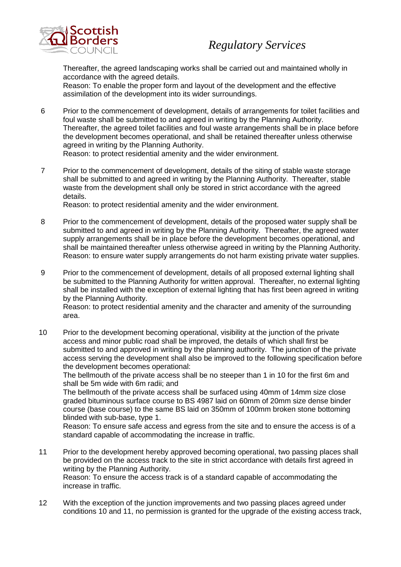

Thereafter, the agreed landscaping works shall be carried out and maintained wholly in accordance with the agreed details.

Reason: To enable the proper form and layout of the development and the effective assimilation of the development into its wider surroundings.

- 6 Prior to the commencement of development, details of arrangements for toilet facilities and foul waste shall be submitted to and agreed in writing by the Planning Authority. Thereafter, the agreed toilet facilities and foul waste arrangements shall be in place before the development becomes operational, and shall be retained thereafter unless otherwise agreed in writing by the Planning Authority. Reason: to protect residential amenity and the wider environment.
- 7 Prior to the commencement of development, details of the siting of stable waste storage shall be submitted to and agreed in writing by the Planning Authority. Thereafter, stable waste from the development shall only be stored in strict accordance with the agreed details.

Reason: to protect residential amenity and the wider environment.

- 8 Prior to the commencement of development, details of the proposed water supply shall be submitted to and agreed in writing by the Planning Authority. Thereafter, the agreed water supply arrangements shall be in place before the development becomes operational, and shall be maintained thereafter unless otherwise agreed in writing by the Planning Authority. Reason: to ensure water supply arrangements do not harm existing private water supplies.
- 9 Prior to the commencement of development, details of all proposed external lighting shall be submitted to the Planning Authority for written approval. Thereafter, no external lighting shall be installed with the exception of external lighting that has first been agreed in writing by the Planning Authority.

Reason: to protect residential amenity and the character and amenity of the surrounding area.

10 Prior to the development becoming operational, visibility at the junction of the private access and minor public road shall be improved, the details of which shall first be submitted to and approved in writing by the planning authority. The junction of the private access serving the development shall also be improved to the following specification before the development becomes operational:

The bellmouth of the private access shall be no steeper than 1 in 10 for the first 6m and shall be 5m wide with 6m radii; and

The bellmouth of the private access shall be surfaced using 40mm of 14mm size close graded bituminous surface course to BS 4987 laid on 60mm of 20mm size dense binder course (base course) to the same BS laid on 350mm of 100mm broken stone bottoming blinded with sub-base, type 1.

Reason: To ensure safe access and egress from the site and to ensure the access is of a standard capable of accommodating the increase in traffic.

- 11 Prior to the development hereby approved becoming operational, two passing places shall be provided on the access track to the site in strict accordance with details first agreed in writing by the Planning Authority. Reason: To ensure the access track is of a standard capable of accommodating the increase in traffic.
- 12 With the exception of the junction improvements and two passing places agreed under conditions 10 and 11, no permission is granted for the upgrade of the existing access track,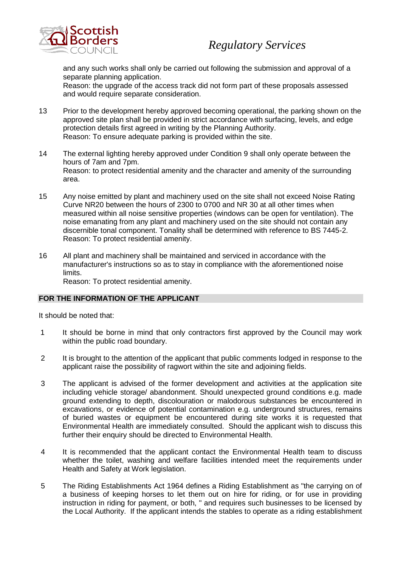



and any such works shall only be carried out following the submission and approval of a separate planning application.

Reason: the upgrade of the access track did not form part of these proposals assessed and would require separate consideration.

- 13 Prior to the development hereby approved becoming operational, the parking shown on the approved site plan shall be provided in strict accordance with surfacing, levels, and edge protection details first agreed in writing by the Planning Authority. Reason: To ensure adequate parking is provided within the site.
- 14 The external lighting hereby approved under Condition 9 shall only operate between the hours of 7am and 7pm. Reason: to protect residential amenity and the character and amenity of the surrounding area.
- 15 Any noise emitted by plant and machinery used on the site shall not exceed Noise Rating Curve NR20 between the hours of 2300 to 0700 and NR 30 at all other times when measured within all noise sensitive properties (windows can be open for ventilation). The noise emanating from any plant and machinery used on the site should not contain any discernible tonal component. Tonality shall be determined with reference to BS 7445-2. Reason: To protect residential amenity.
- 16 All plant and machinery shall be maintained and serviced in accordance with the manufacturer's instructions so as to stay in compliance with the aforementioned noise limits.

Reason: To protect residential amenity.

# **FOR THE INFORMATION OF THE APPLICANT**

It should be noted that:

- 1 It should be borne in mind that only contractors first approved by the Council may work within the public road boundary.
- 2 It is brought to the attention of the applicant that public comments lodged in response to the applicant raise the possibility of ragwort within the site and adjoining fields.
- 3 The applicant is advised of the former development and activities at the application site including vehicle storage/ abandonment. Should unexpected ground conditions e.g. made ground extending to depth, discolouration or malodorous substances be encountered in excavations, or evidence of potential contamination e.g. underground structures, remains of buried wastes or equipment be encountered during site works it is requested that Environmental Health are immediately consulted. Should the applicant wish to discuss this further their enquiry should be directed to Environmental Health.
- 4 It is recommended that the applicant contact the Environmental Health team to discuss whether the toilet, washing and welfare facilities intended meet the requirements under Health and Safety at Work legislation.
- 5 The Riding Establishments Act 1964 defines a Riding Establishment as "the carrying on of a business of keeping horses to let them out on hire for riding, or for use in providing instruction in riding for payment, or both, " and requires such businesses to be licensed by the Local Authority. If the applicant intends the stables to operate as a riding establishment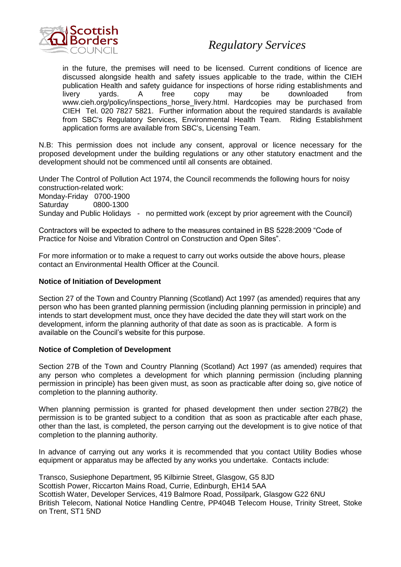

# *Regulatory Services*

in the future, the premises will need to be licensed. Current conditions of licence are discussed alongside health and safety issues applicable to the trade, within the CIEH publication Health and safety guidance for inspections of horse riding establishments and livery yards. A free copy may be downloaded from www.cieh.org/policy/inspections\_horse\_livery.html. Hardcopies may be purchased from CIEH Tel. 020 7827 5821. Further information about the required standards is available from SBC's Regulatory Services, Environmental Health Team. Riding Establishment application forms are available from SBC's, Licensing Team.

N.B: This permission does not include any consent, approval or licence necessary for the proposed development under the building regulations or any other statutory enactment and the development should not be commenced until all consents are obtained.

Under The Control of Pollution Act 1974, the Council recommends the following hours for noisy construction-related work: Monday-Friday 0700-1900 Saturday 0800-1300 Sunday and Public Holidays - no permitted work (except by prior agreement with the Council)

Contractors will be expected to adhere to the measures contained in BS 5228:2009 "Code of Practice for Noise and Vibration Control on Construction and Open Sites".

For more information or to make a request to carry out works outside the above hours, please contact an Environmental Health Officer at the Council.

#### **Notice of Initiation of Development**

Section 27 of the Town and Country Planning (Scotland) Act 1997 (as amended) requires that any person who has been granted planning permission (including planning permission in principle) and intends to start development must, once they have decided the date they will start work on the development, inform the planning authority of that date as soon as is practicable. A form is available on the Council's website for this purpose.

#### **Notice of Completion of Development**

Section 27B of the Town and Country Planning (Scotland) Act 1997 (as amended) requires that any person who completes a development for which planning permission (including planning permission in principle) has been given must, as soon as practicable after doing so, give notice of completion to the planning authority.

When planning permission is granted for phased development then under section 27B(2) the permission is to be granted subject to a condition that as soon as practicable after each phase, other than the last, is completed, the person carrying out the development is to give notice of that completion to the planning authority.

In advance of carrying out any works it is recommended that you contact Utility Bodies whose equipment or apparatus may be affected by any works you undertake. Contacts include:

Transco, Susiephone Department, 95 Kilbirnie Street, Glasgow, G5 8JD Scottish Power, Riccarton Mains Road, Currie, Edinburgh, EH14 5AA Scottish Water, Developer Services, 419 Balmore Road, Possilpark, Glasgow G22 6NU British Telecom, National Notice Handling Centre, PP404B Telecom House, Trinity Street, Stoke on Trent, ST1 5ND